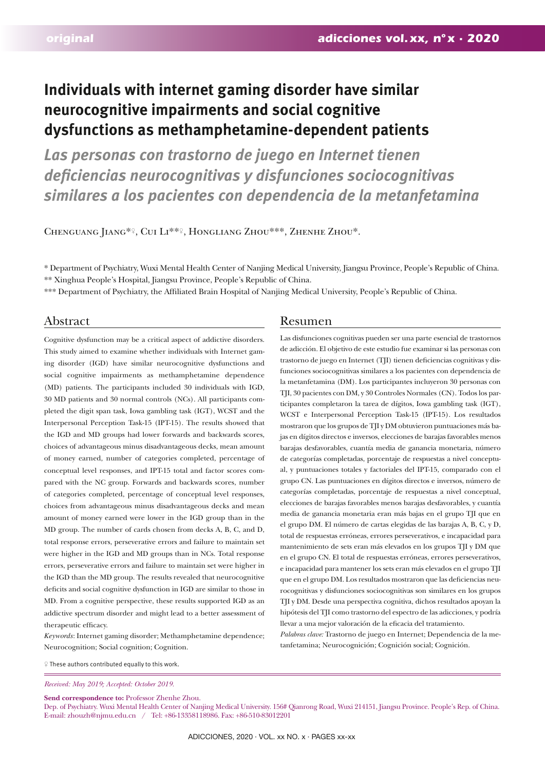# **Individuals with internet gaming disorder have similar neurocognitive impairments and social cognitive dysfunctions as methamphetamine-dependent patients**

*Las personas con trastorno de juego en Internet tienen deficiencias neurocognitivas y disfunciones sociocognitivas similares a los pacientes con dependencia de la metanfetamina*

Chenguang Jiang\*♀, Cui Li\*\*♀, Hongliang Zhou\*\*\*, Zhenhe Zhou\*.

\* Department of Psychiatry, Wuxi Mental Health Center of Nanjing Medical University, Jiangsu Province, People's Republic of China. \*\* Xinghua People's Hospital, Jiangsu Province, People's Republic of China.

\*\*\* Department of Psychiatry, the Affiliated Brain Hospital of Nanjing Medical University, People's Republic of China.

Cognitive dysfunction may be a critical aspect of addictive disorders. This study aimed to examine whether individuals with Internet gaming disorder (IGD) have similar neurocognitive dysfunctions and social cognitive impairments as methamphetamine dependence (MD) patients. The participants included 30 individuals with IGD, 30 MD patients and 30 normal controls (NCs). All participants completed the digit span task, Iowa gambling task (IGT), WCST and the Interpersonal Perception Task-15 (IPT-15). The results showed that the IGD and MD groups had lower forwards and backwards scores, choices of advantageous minus disadvantageous decks, mean amount of money earned, number of categories completed, percentage of conceptual level responses, and IPT-15 total and factor scores compared with the NC group. Forwards and backwards scores, number of categories completed, percentage of conceptual level responses, choices from advantageous minus disadvantageous decks and mean amount of money earned were lower in the IGD group than in the MD group. The number of cards chosen from decks A, B, C, and D, total response errors, perseverative errors and failure to maintain set were higher in the IGD and MD groups than in NCs. Total response errors, perseverative errors and failure to maintain set were higher in the IGD than the MD group. The results revealed that neurocognitive deficits and social cognitive dysfunction in IGD are similar to those in MD. From a cognitive perspective, these results supported IGD as an addictive spectrum disorder and might lead to a better assessment of therapeutic efficacy.

*Keywords*: Internet gaming disorder; Methamphetamine dependence; Neurocognition; Social cognition; Cognition.

# Abstract Resumen

Las disfunciones cognitivas pueden ser una parte esencial de trastornos de adicción. El objetivo de este estudio fue examinar si las personas con trastorno de juego en Internet (TJI) tienen deficiencias cognitivas y disfunciones sociocognitivas similares a los pacientes con dependencia de la metanfetamina (DM). Los participantes incluyeron 30 personas con TJI, 30 pacientes con DM, y 30 Controles Normales (CN). Todos los participantes completaron la tarea de dígitos, Iowa gambling task (IGT), WCST e Interpersonal Perception Task-15 (IPT-15). Los resultados mostraron que los grupos de TJI y DM obtuvieron puntuaciones más bajas en dígitos directos e inversos, elecciones de barajas favorables menos barajas desfavorables, cuantía media de ganancia monetaria, número de categorías completadas, porcentaje de respuestas a nivel conceptual, y puntuaciones totales y factoriales del IPT-15, comparado con el grupo CN. Las puntuaciones en dígitos directos e inversos, número de categorías completadas, porcentaje de respuestas a nivel conceptual, elecciones de barajas favorables menos barajas desfavorables, y cuantía media de ganancia monetaria eran más bajas en el grupo TJI que en el grupo DM. El número de cartas elegidas de las barajas A, B, C, y D, total de respuestas erróneas, errores perseverativos, e incapacidad para mantenimiento de sets eran más elevados en los grupos TJI y DM que en el grupo CN. El total de respuestas erróneas, errores perseverativos, e incapacidad para mantener los sets eran más elevados en el grupo TJI que en el grupo DM. Los resultados mostraron que las deficiencias neurocognitivas y disfunciones sociocognitivas son similares en los grupos TJI y DM. Desde una perspectiva cognitiva, dichos resultados apoyan la hipótesis del TJI como trastorno del espectro de las adicciones, y podría llevar a una mejor valoración de la eficacia del tratamiento.

*Palabras clave:* Trastorno de juego en Internet; Dependencia de la metanfetamina; Neurocognición; Cognición social; Cognición.

♀ These authors contributed equally to this work.

*Received: May 2019; Accepted: October 2019.*

Send correspondence to: Professor Zhenhe Zhou.

Dep. of Psychiatry. Wuxi Mental Health Center of Nanjing Medical University. 156# Qianrong Road, Wuxi 214151, Jiangsu Province. People's Rep. of China. E-mail: zhouzh@njmu.edu.cn / Tel: +86-13358118986. Fax: +86-510-83012201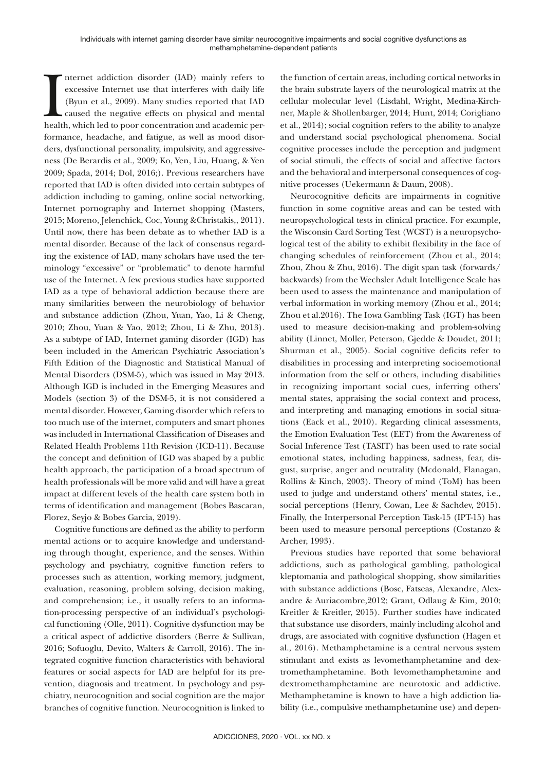Internet addiction disorder (IAD) mainly refers to excessive Internet use that interferes with daily life (Byun et al., 2009). Many studies reported that IAD caused the negative effects on physical and mental health, which nternet addiction disorder (IAD) mainly refers to excessive Internet use that interferes with daily life (Byun et al., 2009). Many studies reported that IAD caused the negative effects on physical and mental formance, headache, and fatigue, as well as mood disorders, dysfunctional personality, impulsivity, and aggressiveness (De Berardis et al., 2009; Ko, Yen, Liu, Huang, & Yen 2009; Spada, 2014; Dol, 2016;). Previous researchers have reported that IAD is often divided into certain subtypes of addiction including to gaming, online social networking, Internet pornography and Internet shopping (Masters, 2015; Moreno, Jelenchick, Coc, Young &Christakis,, 2011). Until now, there has been debate as to whether IAD is a mental disorder. Because of the lack of consensus regarding the existence of IAD, many scholars have used the terminology "excessive" or "problematic" to denote harmful use of the Internet. A few previous studies have supported IAD as a type of behavioral addiction because there are many similarities between the neurobiology of behavior and substance addiction (Zhou, Yuan, Yao, Li & Cheng, 2010; Zhou, Yuan & Yao, 2012; Zhou, Li & Zhu, 2013). As a subtype of IAD, Internet gaming disorder (IGD) has been included in the American Psychiatric Association's Fifth Edition of the Diagnostic and Statistical Manual of Mental Disorders (DSM-5), which was issued in May 2013. Although IGD is included in the Emerging Measures and Models (section 3) of the DSM-5, it is not considered a mental disorder. However, Gaming disorder which refers to too much use of the internet, computers and smart phones was included in International Classification of Diseases and Related Health Problems 11th Revision (ICD-11). Because the concept and definition of IGD was shaped by a public health approach, the participation of a broad spectrum of health professionals will be more valid and will have a great impact at different levels of the health care system both in terms of identification and management (Bobes Bascaran, Florez, Seyjo & Bobes Garcia, 2019).

Cognitive functions are defined as the ability to perform mental actions or to acquire knowledge and understanding through thought, experience, and the senses. Within psychology and psychiatry, cognitive function refers to processes such as attention, working memory, judgment, evaluation, reasoning, problem solving, decision making, and comprehension; i.e., it usually refers to an information-processing perspective of an individual's psychological functioning (Olle, 2011). Cognitive dysfunction may be a critical aspect of addictive disorders (Berre & Sullivan, 2016; Sofuoglu, Devito, Walters & Carroll, 2016). The integrated cognitive function characteristics with behavioral features or social aspects for IAD are helpful for its prevention, diagnosis and treatment. In psychology and psychiatry, neurocognition and social cognition are the major branches of cognitive function. Neurocognition is linked to the function of certain areas, including cortical networks in the brain substrate layers of the neurological matrix at the cellular molecular level (Lisdahl, Wright, Medina-Kirchner, Maple & Shollenbarger, 2014; Hunt, 2014; Corigliano et al., 2014); social cognition refers to the ability to analyze and understand social psychological phenomena. Social cognitive processes include the perception and judgment of social stimuli, the effects of social and affective factors and the behavioral and interpersonal consequences of cognitive processes (Uekermann & Daum, 2008).

Neurocognitive deficits are impairments in cognitive function in some cognitive areas and can be tested with neuropsychological tests in clinical practice. For example, the Wisconsin Card Sorting Test (WCST) is a neuropsychological test of the ability to exhibit flexibility in the face of changing schedules of reinforcement (Zhou et al., 2014; Zhou, Zhou & Zhu, 2016). The digit span task (forwards/ backwards) from the Wechsler Adult Intelligence Scale has been used to assess the maintenance and manipulation of verbal information in working memory (Zhou et al., 2014; Zhou et al.2016). The Iowa Gambling Task (IGT) has been used to measure decision-making and problem-solving ability (Linnet, Moller, Peterson, Gjedde & Doudet, 2011; Shurman et al., 2005). Social cognitive deficits refer to disabilities in processing and interpreting socioemotional information from the self or others, including disabilities in recognizing important social cues, inferring others' mental states, appraising the social context and process, and interpreting and managing emotions in social situations (Eack et al., 2010). Regarding clinical assessments, the Emotion Evaluation Test (EET) from the Awareness of Social Inference Test (TASIT) has been used to rate social emotional states, including happiness, sadness, fear, disgust, surprise, anger and neutrality (Mcdonald, Flanagan, Rollins & Kinch, 2003). Theory of mind (ToM) has been used to judge and understand others' mental states, i.e., social perceptions (Henry, Cowan, Lee & Sachdev, 2015). Finally, the Interpersonal Perception Task-15 (IPT-15) has been used to measure personal perceptions (Costanzo & Archer, 1993).

Previous studies have reported that some behavioral addictions, such as pathological gambling, pathological kleptomania and pathological shopping, show similarities with substance addictions (Bosc, Fatseas, Alexandre, Alexandre & Auriacombre,2012; Grant, Odlaug & Kim, 2010; Kreitler & Kreitler, 2015). Further studies have indicated that substance use disorders, mainly including alcohol and drugs, are associated with cognitive dysfunction (Hagen et al., 2016). Methamphetamine is a central nervous system stimulant and exists as levomethamphetamine and dextromethamphetamine. Both levomethamphetamine and dextromethamphetamine are neurotoxic and addictive. Methamphetamine is known to have a high addiction liability (i.e., compulsive methamphetamine use) and depen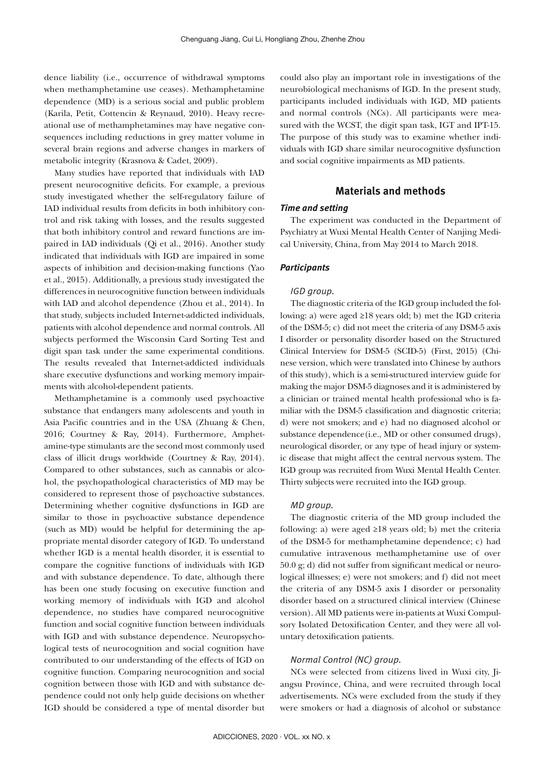dence liability (i.e., occurrence of withdrawal symptoms when methamphetamine use ceases). Methamphetamine dependence (MD) is a serious social and public problem (Karila, Petit, Cottencin & Reynaud, 2010). Heavy recreational use of methamphetamines may have negative consequences including reductions in grey matter volume in several brain regions and adverse changes in markers of metabolic integrity (Krasnova & Cadet, 2009).

Many studies have reported that individuals with IAD present neurocognitive deficits. For example, a previous study investigated whether the self-regulatory failure of IAD individual results from deficits in both inhibitory control and risk taking with losses, and the results suggested that both inhibitory control and reward functions are impaired in IAD individuals (Qi et al., 2016). Another study indicated that individuals with IGD are impaired in some aspects of inhibition and decision-making functions (Yao et al., 2015). Additionally, a previous study investigated the differences in neurocognitive function between individuals with IAD and alcohol dependence (Zhou et al., 2014). In that study, subjects included Internet-addicted individuals, patients with alcohol dependence and normal controls. All subjects performed the Wisconsin Card Sorting Test and digit span task under the same experimental conditions. The results revealed that Internet-addicted individuals share executive dysfunctions and working memory impairments with alcohol-dependent patients.

Methamphetamine is a commonly used psychoactive substance that endangers many adolescents and youth in Asia Pacific countries and in the USA (Zhuang & Chen, 2016; Courtney & Ray, 2014). Furthermore, Amphetamine-type stimulants are the second most commonly used class of illicit drugs worldwide (Courtney & Ray, 2014). Compared to other substances, such as cannabis or alcohol, the psychopathological characteristics of MD may be considered to represent those of psychoactive substances. Determining whether cognitive dysfunctions in IGD are similar to those in psychoactive substance dependence (such as MD) would be helpful for determining the appropriate mental disorder category of IGD. To understand whether IGD is a mental health disorder, it is essential to compare the cognitive functions of individuals with IGD and with substance dependence. To date, although there has been one study focusing on executive function and working memory of individuals with IGD and alcohol dependence, no studies have compared neurocognitive function and social cognitive function between individuals with IGD and with substance dependence. Neuropsychological tests of neurocognition and social cognition have contributed to our understanding of the effects of IGD on cognitive function. Comparing neurocognition and social cognition between those with IGD and with substance dependence could not only help guide decisions on whether IGD should be considered a type of mental disorder but

could also play an important role in investigations of the neurobiological mechanisms of IGD. In the present study, participants included individuals with IGD, MD patients and normal controls (NCs). All participants were measured with the WCST, the digit span task, IGT and IPT-15. The purpose of this study was to examine whether individuals with IGD share similar neurocognitive dysfunction and social cognitive impairments as MD patients.

# **Materials and methods**

### *Time and setting*

The experiment was conducted in the Department of Psychiatry at Wuxi Mental Health Center of Nanjing Medical University, China, from May 2014 to March 2018.

#### *Participants*

#### *IGD group.*

The diagnostic criteria of the IGD group included the following: a) were aged ≥18 years old; b) met the IGD criteria of the DSM-5; c) did not meet the criteria of any DSM-5 axis I disorder or personality disorder based on the Structured Clinical Interview for DSM-5 (SCID-5) (First, 2015) (Chinese version, which were translated into Chinese by authors of this study), which is a semi-structured interview guide for making the major DSM-5 diagnoses and it is administered by a clinician or trained mental health professional who is familiar with the DSM-5 classification and diagnostic criteria; d) were not smokers; and e) had no diagnosed alcohol or substance dependence(i.e., MD or other consumed drugs), neurological disorder, or any type of head injury or systemic disease that might affect the central nervous system. The IGD group was recruited from Wuxi Mental Health Center. Thirty subjects were recruited into the IGD group.

#### *MD group.*

The diagnostic criteria of the MD group included the following: a) were aged ≥18 years old; b) met the criteria of the DSM-5 for methamphetamine dependence; c) had cumulative intravenous methamphetamine use of over 50.0 g; d) did not suffer from significant medical or neurological illnesses; e) were not smokers; and f) did not meet the criteria of any DSM-5 axis I disorder or personality disorder based on a structured clinical interview (Chinese version). All MD patients were in-patients at Wuxi Compulsory Isolated Detoxification Center, and they were all voluntary detoxification patients.

#### *Normal Control (NC) group.*

NCs were selected from citizens lived in Wuxi city, Jiangsu Province, China, and were recruited through local advertisements. NCs were excluded from the study if they were smokers or had a diagnosis of alcohol or substance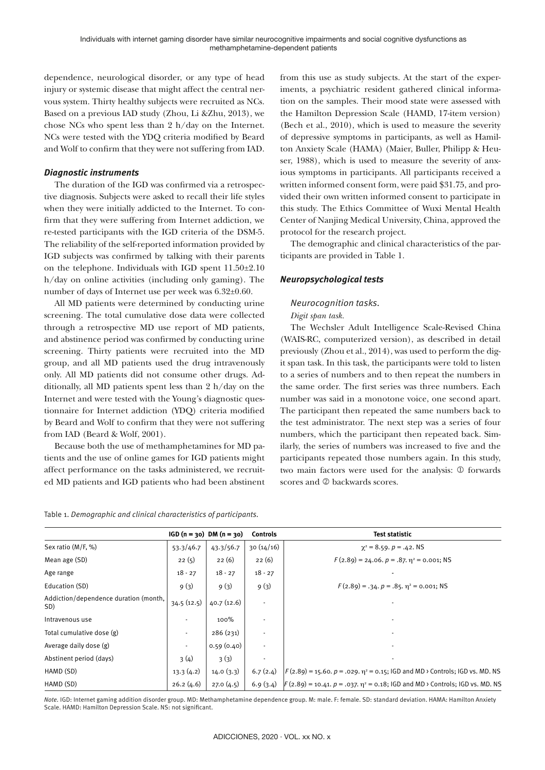dependence, neurological disorder, or any type of head injury or systemic disease that might affect the central nervous system. Thirty healthy subjects were recruited as NCs. Based on a previous IAD study (Zhou, Li &Zhu, 2013), we chose NCs who spent less than 2 h/day on the Internet. NCs were tested with the YDQ criteria modified by Beard and Wolf to confirm that they were not suffering from IAD.

#### *Diagnostic instruments*

The duration of the IGD was confirmed via a retrospective diagnosis. Subjects were asked to recall their life styles when they were initially addicted to the Internet. To confirm that they were suffering from Internet addiction, we re-tested participants with the IGD criteria of the DSM-5. The reliability of the self-reported information provided by IGD subjects was confirmed by talking with their parents on the telephone. Individuals with IGD spent 11.50±2.10 h/day on online activities (including only gaming). The number of days of Internet use per week was 6.32±0.60.

All MD patients were determined by conducting urine screening. The total cumulative dose data were collected through a retrospective MD use report of MD patients, and abstinence period was confirmed by conducting urine screening. Thirty patients were recruited into the MD group, and all MD patients used the drug intravenously only. All MD patients did not consume other drugs. Additionally, all MD patients spent less than 2 h/day on the Internet and were tested with the Young's diagnostic questionnaire for Internet addiction (YDQ) criteria modified by Beard and Wolf to confirm that they were not suffering from IAD (Beard & Wolf, 2001).

Because both the use of methamphetamines for MD patients and the use of online games for IGD patients might affect performance on the tasks administered, we recruited MD patients and IGD patients who had been abstinent from this use as study subjects. At the start of the experiments, a psychiatric resident gathered clinical information on the samples. Their mood state were assessed with the Hamilton Depression Scale (HAMD, 17-item version) (Bech et al., 2010), which is used to measure the severity of depressive symptoms in participants, as well as Hamilton Anxiety Scale (HAMA) (Maier, Buller, Philipp & Heuser, 1988), which is used to measure the severity of anxious symptoms in participants. All participants received a written informed consent form, were paid \$31.75, and provided their own written informed consent to participate in this study. The Ethics Committee of Wuxi Mental Health Center of Nanjing Medical University, China, approved the protocol for the research project.

The demographic and clinical characteristics of the participants are provided in Table 1.

# *Neuropsychological tests*

# *Neurocognition tasks.*

#### *Digit span task.*

The Wechsler Adult Intelligence Scale-Revised China (WAIS-RC, computerized version), as described in detail previously (Zhou et al., 2014), was used to perform the digit span task. In this task, the participants were told to listen to a series of numbers and to then repeat the numbers in the same order. The first series was three numbers. Each number was said in a monotone voice, one second apart. The participant then repeated the same numbers back to the test administrator. The next step was a series of four numbers, which the participant then repeated back. Similarly, the series of numbers was increased to five and the participants repeated those numbers again. In this study, two main factors were used for the analysis:  $\mathbb O$  forwards scores and 2 backwards scores.

|  | Table 1. Demographic and clinical characteristics of participants. |  |
|--|--------------------------------------------------------------------|--|
|  |                                                                    |  |

|                                              |                          | $IGD(n = 30)$ DM $(n = 30)$ | <b>Controls</b> | <b>Test statistic</b>                                                                    |
|----------------------------------------------|--------------------------|-----------------------------|-----------------|------------------------------------------------------------------------------------------|
| Sex ratio (M/F, %)                           | 53.3/46.7                | 43.3/56.7                   | 30(14/16)       | $\chi^2$ = 8.59. $p = .42$ . NS                                                          |
| Mean age (SD)                                | 22(5)                    | 22(6)                       | 22(6)           | $F(2.89) = 24.06$ , $p = .87$ , $\eta^2 = 0.001$ ; NS                                    |
| Age range                                    | $18 - 27$                | $18 - 27$                   | $18 - 27$       |                                                                                          |
| Education (SD)                               | 9(3)                     | 9(3)                        | 9(3)            | $F(2.89) = .34. p = .85. \eta^2 = 0.001$ ; NS                                            |
| Addiction/dependence duration (month,<br>SD) | 34.5(12.5)               | 40.7(12.6)                  |                 |                                                                                          |
| Intravenous use                              | $\overline{\phantom{a}}$ | 100%                        |                 |                                                                                          |
| Total cumulative dose (g)                    | $\blacksquare$           | 286(231)                    |                 |                                                                                          |
| Average daily dose (g)                       |                          | 0.59(0.40)                  |                 |                                                                                          |
| Abstinent period (days)                      | 3(4)                     | 3(3)                        |                 |                                                                                          |
| HAMD (SD)                                    | 13.3(4.2)                | 14.0(3.3)                   | 6.7(2.4)        | $ F(2.89) = 15.60. p = .029. \eta^2 = 0.15$ ; IGD and MD > Controls; IGD vs. MD. NS      |
| HAMD (SD)                                    | 26.2(4.6)                | 27.0(4.5)                   | 6.9(3.4)        | $F(2.89) = 10.41$ . $p = .037$ . $\eta^2 = 0.18$ ; IGD and MD > Controls; IGD vs. MD. NS |

*Note.* IGD: Internet gaming addition disorder group. MD: Methamphetamine dependence group. M: male. F: female. SD: standard deviation. HAMA: Hamilton Anxiety Scale. HAMD: Hamilton Depression Scale. NS: not significant.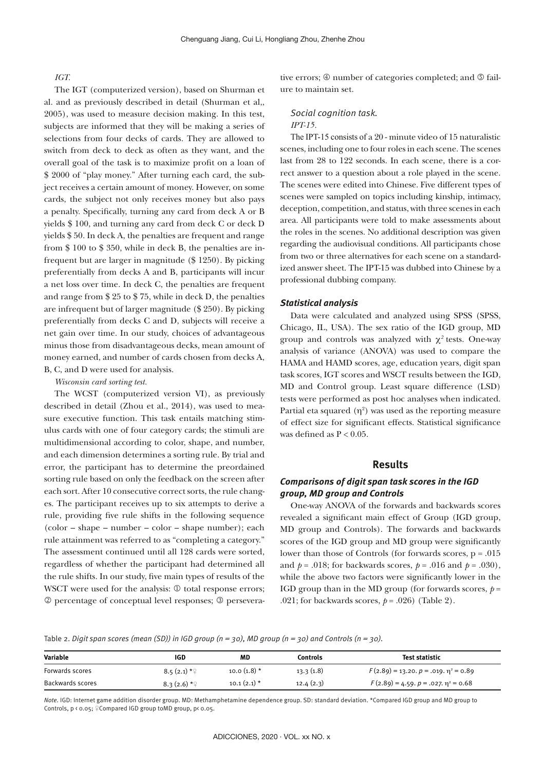#### *IGT.*

The IGT (computerized version), based on Shurman et al. and as previously described in detail (Shurman et al,, 2005), was used to measure decision making. In this test, subjects are informed that they will be making a series of selections from four decks of cards. They are allowed to switch from deck to deck as often as they want, and the overall goal of the task is to maximize profit on a loan of \$ 2000 of "play money." After turning each card, the subject receives a certain amount of money. However, on some cards, the subject not only receives money but also pays a penalty. Specifically, turning any card from deck A or B yields \$ 100, and turning any card from deck C or deck D yields \$ 50. In deck A, the penalties are frequent and range from \$ 100 to \$ 350, while in deck B, the penalties are infrequent but are larger in magnitude (\$ 1250). By picking preferentially from decks A and B, participants will incur a net loss over time. In deck C, the penalties are frequent and range from \$ 25 to \$ 75, while in deck D, the penalties are infrequent but of larger magnitude (\$ 250). By picking preferentially from decks C and D, subjects will receive a net gain over time. In our study, choices of advantageous minus those from disadvantageous decks, mean amount of money earned, and number of cards chosen from decks A, B, C, and D were used for analysis.

#### *Wisconsin card sorting test.*

The WCST (computerized version VI), as previously described in detail (Zhou et al., 2014), was used to measure executive function. This task entails matching stimulus cards with one of four category cards; the stimuli are multidimensional according to color, shape, and number, and each dimension determines a sorting rule. By trial and error, the participant has to determine the preordained sorting rule based on only the feedback on the screen after each sort. After 10 consecutive correct sorts, the rule changes. The participant receives up to six attempts to derive a rule, providing five rule shifts in the following sequence (color – shape – number – color – shape number); each rule attainment was referred to as "completing a category." The assessment continued until all 128 cards were sorted, regardless of whether the participant had determined all the rule shifts. In our study, five main types of results of the WSCT were used for the analysis:  $\mathcal D$  total response errors; percentage of conceptual level responses; perseverative errors;  $\circledast$  number of categories completed; and  $\circledast$  failure to maintain set.

#### *Social cognition task. IPT-15.*

The IPT-15 consists of a 20 - minute video of 15 naturalistic scenes, including one to four roles in each scene. The scenes last from 28 to 122 seconds. In each scene, there is a correct answer to a question about a role played in the scene. The scenes were edited into Chinese. Five different types of scenes were sampled on topics including kinship, intimacy, deception, competition, and status, with three scenes in each area. All participants were told to make assessments about the roles in the scenes. No additional description was given regarding the audiovisual conditions. All participants chose from two or three alternatives for each scene on a standardized answer sheet. The IPT-15 was dubbed into Chinese by a professional dubbing company.

#### *Statistical analysis*

Data were calculated and analyzed using SPSS (SPSS, Chicago, IL, USA). The sex ratio of the IGD group, MD group and controls was analyzed with  $\chi^2$  tests. One-way analysis of variance (ANOVA) was used to compare the HAMA and HAMD scores, age, education years, digit span task scores, IGT scores and WSCT results between the IGD, MD and Control group. Least square difference (LSD) tests were performed as post hoc analyses when indicated. Partial eta squared  $(\eta^2)$  was used as the reporting measure of effect size for significant effects. Statistical significance was defined as  $P < 0.05$ .

### **Results**

### *Comparisons of digit span task scores in the IGD group, MD group and Controls*

One-way ANOVA of the forwards and backwards scores revealed a significant main effect of Group (IGD group, MD group and Controls). The forwards and backwards scores of the IGD group and MD group were significantly lower than those of Controls (for forwards scores, p = .015 and  $p = .018$ ; for backwards scores,  $p = .016$  and  $p = .030$ ), while the above two factors were significantly lower in the IGD group than in the MD group (for forwards scores,  $p =$ .021; for backwards scores,  $p = .026$ ) (Table 2).

Table 2. *Digit span scores (mean (SD)) in IGD group (n = 30), MD group (n = 30) and Controls (n = 30).*

| <b>Variable</b>  | IGD          | MD            | Controls  | Test statistic                                  |
|------------------|--------------|---------------|-----------|-------------------------------------------------|
| Forwards scores  | $8.5(2.1) *$ | $10.0(1.8)$ * | 13.3(1.8) | $F(2.89) = 13.20, p = .019, \eta^2 = 0.89$      |
| Backwards scores | $8.3(2.6)*?$ | $10.1(2.1)$ * | 12.4(2.3) | $F(2.89) = 4.59$ , $p = .027$ , $\eta^2 = 0.68$ |

*Note.* IGD: Internet game addition disorder group. MD: Methamphetamine dependence group. SD: standard deviation. \*Compared IGD group and MD group to Controls, p < 0.05; ♀Compared IGD group toMD group, p< 0.05.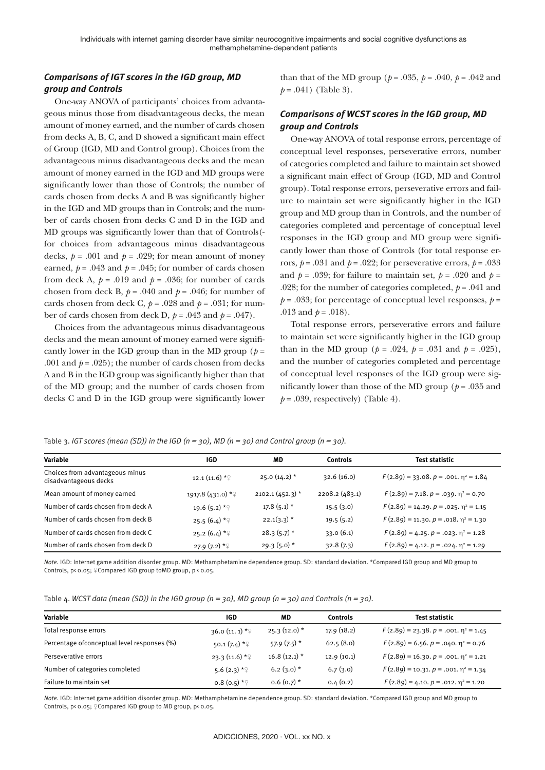# *Comparisons of IGT scores in the IGD group, MD group and Controls*

One-way ANOVA of participants' choices from advantageous minus those from disadvantageous decks, the mean amount of money earned, and the number of cards chosen from decks A, B, C, and D showed a significant main effect of Group (IGD, MD and Control group). Choices from the advantageous minus disadvantageous decks and the mean amount of money earned in the IGD and MD groups were significantly lower than those of Controls; the number of cards chosen from decks A and B was significantly higher in the IGD and MD groups than in Controls; and the number of cards chosen from decks C and D in the IGD and MD groups was significantly lower than that of Controls( for choices from advantageous minus disadvantageous decks,  $p = .001$  and  $p = .029$ ; for mean amount of money earned,  $p = .043$  and  $p = .045$ ; for number of cards chosen from deck A,  $p = .019$  and  $p = .036$ ; for number of cards chosen from deck B,  $p = .040$  and  $p = .046$ ; for number of cards chosen from deck C,  $p = .028$  and  $p = .031$ ; for number of cards chosen from deck D,  $p = .043$  and  $p = .047$ ).

Choices from the advantageous minus disadvantageous decks and the mean amount of money earned were significantly lower in the IGD group than in the MD group ( $p =$ .001 and  $p = .025$ ); the number of cards chosen from decks A and B in the IGD group was significantly higher than that of the MD group; and the number of cards chosen from decks C and D in the IGD group were significantly lower than that of the MD group ( $p = .035$ ,  $p = .040$ ,  $p = .042$  and  $p = .041$ ) (Table 3).

# *Comparisons of WCST scores in the IGD group, MD group and Controls*

One-way ANOVA of total response errors, percentage of conceptual level responses, perseverative errors, number of categories completed and failure to maintain set showed a significant main effect of Group (IGD, MD and Control group). Total response errors, perseverative errors and failure to maintain set were significantly higher in the IGD group and MD group than in Controls, and the number of categories completed and percentage of conceptual level responses in the IGD group and MD group were significantly lower than those of Controls (for total response errors,  $p = .031$  and  $p = .022$ ; for perseverative errors,  $p = .033$ and  $p = .039$ ; for failure to maintain set,  $p = .020$  and  $p =$ .028; for the number of categories completed,  $p = .041$  and  $p = 0.033$ ; for percentage of conceptual level responses,  $p =$ .013 and  $p = .018$ ).

Total response errors, perseverative errors and failure to maintain set were significantly higher in the IGD group than in the MD group ( $p = .024$ ,  $p = .031$  and  $p = .025$ ), and the number of categories completed and percentage of conceptual level responses of the IGD group were significantly lower than those of the MD group ( $p = .035$  and  $p = .039$ , respectively) (Table 4).

Table 3. *IGT scores (mean (SD)) in the IGD (n = 30), MD (n = 30) and Control group (n = 30).*

| Variable                                                 | <b>IGD</b>                 | MD                | Controls      | <b>Test statistic</b>                            |
|----------------------------------------------------------|----------------------------|-------------------|---------------|--------------------------------------------------|
| Choices from advantageous minus<br>disadvantageous decks | 12.1 $(11.6)$ * $\sqrt{2}$ | $25.0(14.2)$ *    | 32.6(16.0)    | $F(2.89) = 33.08$ , $p = .001$ , $\eta^2 = 1.84$ |
| Mean amount of money earned                              | 1917.8 (431.0) *2          | $2102.1(452.3)$ * | 2208.2(483.1) | $F(2.89) = 7.18$ , $p = .039$ , $\eta^2 = 0.70$  |
| Number of cards chosen from deck A                       | 19.6 $(5.2)$ * $\sqrt{ }$  | $17.8(5.1)$ *     | 15.5(3.0)     | $F(2.89) = 14.29$ , $p = .025$ , $\eta^2 = 1.15$ |
| Number of cards chosen from deck B                       | $25.5(6.4)$ * $\circ$      | $22.1(3.3)$ *     | 19.5(5.2)     | $F(2.89) = 11.30. p = .018. \eta^2 = 1.30$       |
| Number of cards chosen from deck C                       | 25.2 $(6.4) *$             | $28.3(5.7)$ *     | 33.0(6.1)     | $F(2.89) = 4.25$ , $p = .023$ , $\eta^2 = 1.28$  |
| Number of cards chosen from deck D                       | $27.9(7.2) *$              | $29.3(5.0)$ *     | 32.8(7.3)     | $F(2.89) = 4.12, p = .024, \eta^2 = 1.29$        |

*Note.* IGD: Internet game addition disorder group. MD: Methamphetamine dependence group. SD: standard deviation. \*Compared IGD group and MD group to Controls, p< 0.05; ♀Compared IGD group toMD group, p < 0.05.

| Variable                                     | IGD                         | MD             | Controls   | Test statistic                                  |
|----------------------------------------------|-----------------------------|----------------|------------|-------------------------------------------------|
| Total response errors                        | 36.0 (11. 1) $*$ $\sqrt{ }$ | $25.3(12.0)$ * | 17.9(18.2) | $F(2.89) = 23.38. p = .001. \eta^2 = 1.45$      |
| Percentage of conceptual level responses (%) | 50.1 $(7.4)$ *              | $57.9(7.5)$ *  | 62.5(8.0)  | $F(2.89) = 6.56$ , $p = .040$ , $\eta^2 = 0.76$ |
| Perseverative errors                         | $23.3(11.6)*?$              | $16.8(12.1)$ * | 12.9(10.1) | $F(2.89) = 16.30, p = .001, \eta^2 = 1.21$      |
| Number of categories completed               | 5.6 $(2.3) *$               | $6.2(3.0)$ *   | 6.7(3.0)   | $F(2.89) = 10.31, p = .001, \eta^2 = 1.34$      |
| Failure to maintain set                      | $0.8(0.5) *$                | $0.6(0.7)$ *   | 0.4(0.2)   | $F(2.89) = 4.10, p = .012, \eta^2 = 1.20$       |

*Note.* IGD: Internet game addition disorder group. MD: Methamphetamine dependence group. SD: standard deviation. \*Compared IGD group and MD group to Controls, p< 0.05;  $\sqrt{2}$ Compared IGD group to MD group, p< 0.05.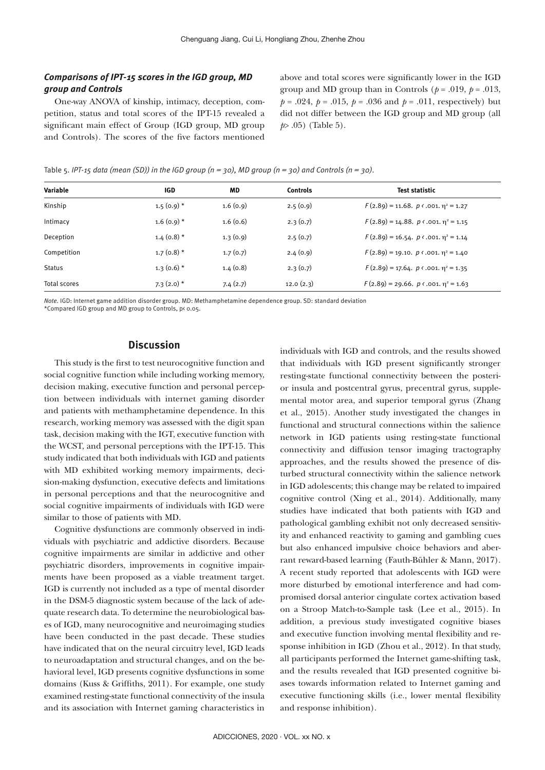# *Comparisons of IPT-15 scores in the IGD group, MD group and Controls*

One-way ANOVA of kinship, intimacy, deception, competition, status and total scores of the IPT-15 revealed a significant main effect of Group (IGD group, MD group and Controls). The scores of the five factors mentioned above and total scores were significantly lower in the IGD group and MD group than in Controls ( $p = .019$ ,  $p = .013$ ,  $p = .024$ ,  $p = .015$ ,  $p = .036$  and  $p = .011$ , respectively) but did not differ between the IGD group and MD group (all *p*> .05) (Table 5).

Table 5. *IPT-15 data (mean (SD)) in the IGD group (n = 30), MD group (n = 30) and Controls (n = 30).*

| Variable            | <b>IGD</b>   | MD       | <b>Controls</b> | <b>Test statistic</b>                                        |
|---------------------|--------------|----------|-----------------|--------------------------------------------------------------|
| Kinship             | $1.5(0.9)$ * | 1.6(0.9) | 2.5(0.9)        | $F(2.89) = 11.68$ . $p \triangleleft .001$ . $\eta^2 = 1.27$ |
| Intimacy            | $1.6(0.9)$ * | 1.6(0.6) | 2.3(0.7)        | $F(2.89) = 14.88$ , $p \triangleleft .001$ , $\eta^2 = 1.15$ |
| Deception           | $1.4(0.8)$ * | 1.3(0.9) | 2.5(0.7)        | $F(2.89) = 16.54$ , $p \triangleleft .001$ , $\eta^2 = 1.14$ |
| Competition         | $1.7(0.8)$ * | 1.7(0.7) | 2.4(0.9)        | $F(2.89) = 19.10$ , $p \triangleleft .001$ , $\eta^2 = 1.40$ |
| <b>Status</b>       | $1.3(0.6)$ * | 1.4(0.8) | 2.3(0.7)        | $F(2.89) = 17.64$ , $p \triangleleft .001$ , $\eta^2 = 1.35$ |
| <b>Total scores</b> | $7.3(2.0)$ * | 7.4(2.7) | 12.0(2.3)       | $F(2.89) = 29.66$ . $p \triangleleft .001$ . $\eta^2 = 1.63$ |
|                     |              |          |                 |                                                              |

*Note.* IGD: Internet game addition disorder group. MD: Methamphetamine dependence group. SD: standard deviation

\*Compared IGD group and MD group to Controls, p< 0.05.

# **Discussion**

This study is the first to test neurocognitive function and social cognitive function while including working memory, decision making, executive function and personal perception between individuals with internet gaming disorder and patients with methamphetamine dependence. In this research, working memory was assessed with the digit span task, decision making with the IGT, executive function with the WCST, and personal perceptions with the IPT-15. This study indicated that both individuals with IGD and patients with MD exhibited working memory impairments, decision-making dysfunction, executive defects and limitations in personal perceptions and that the neurocognitive and social cognitive impairments of individuals with IGD were similar to those of patients with MD.

Cognitive dysfunctions are commonly observed in individuals with psychiatric and addictive disorders. Because cognitive impairments are similar in addictive and other psychiatric disorders, improvements in cognitive impairments have been proposed as a viable treatment target. IGD is currently not included as a type of mental disorder in the DSM-5 diagnostic system because of the lack of adequate research data. To determine the neurobiological bases of IGD, many neurocognitive and neuroimaging studies have been conducted in the past decade. These studies have indicated that on the neural circuitry level, IGD leads to neuroadaptation and structural changes, and on the behavioral level, IGD presents cognitive dysfunctions in some domains (Kuss & Griffiths, 2011). For example, one study examined resting-state functional connectivity of the insula and its association with Internet gaming characteristics in individuals with IGD and controls, and the results showed that individuals with IGD present significantly stronger resting-state functional connectivity between the posterior insula and postcentral gyrus, precentral gyrus, supplemental motor area, and superior temporal gyrus (Zhang et al., 2015). Another study investigated the changes in functional and structural connections within the salience network in IGD patients using resting-state functional connectivity and diffusion tensor imaging tractography approaches, and the results showed the presence of disturbed structural connectivity within the salience network in IGD adolescents; this change may be related to impaired cognitive control (Xing et al., 2014). Additionally, many studies have indicated that both patients with IGD and pathological gambling exhibit not only decreased sensitivity and enhanced reactivity to gaming and gambling cues but also enhanced impulsive choice behaviors and aberrant reward-based learning (Fauth-Bühler & Mann, 2017). A recent study reported that adolescents with IGD were more disturbed by emotional interference and had compromised dorsal anterior cingulate cortex activation based on a Stroop Match-to-Sample task (Lee et al., 2015). In addition, a previous study investigated cognitive biases and executive function involving mental flexibility and response inhibition in IGD (Zhou et al., 2012). In that study, all participants performed the Internet game-shifting task, and the results revealed that IGD presented cognitive biases towards information related to Internet gaming and executive functioning skills (i.e., lower mental flexibility and response inhibition).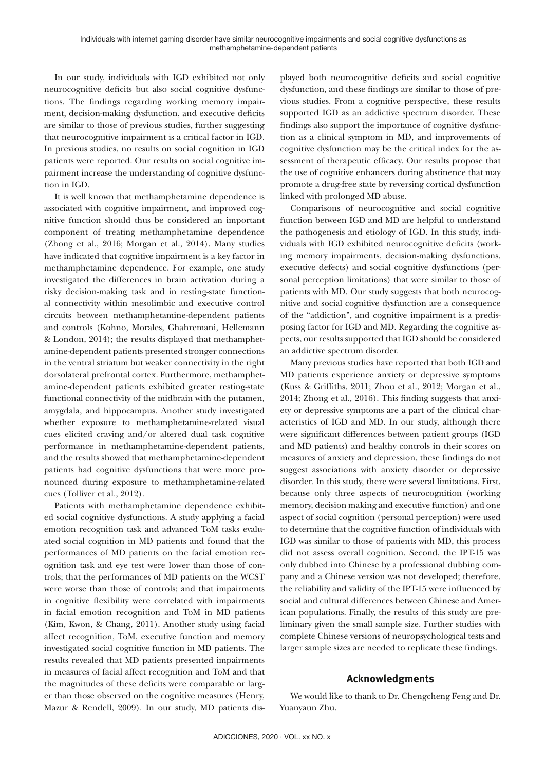In our study, individuals with IGD exhibited not only neurocognitive deficits but also social cognitive dysfunctions. The findings regarding working memory impairment, decision-making dysfunction, and executive deficits are similar to those of previous studies, further suggesting that neurocognitive impairment is a critical factor in IGD. In previous studies, no results on social cognition in IGD patients were reported. Our results on social cognitive impairment increase the understanding of cognitive dysfunction in IGD.

It is well known that methamphetamine dependence is associated with cognitive impairment, and improved cognitive function should thus be considered an important component of treating methamphetamine dependence (Zhong et al., 2016; Morgan et al., 2014). Many studies have indicated that cognitive impairment is a key factor in methamphetamine dependence. For example, one study investigated the differences in brain activation during a risky decision-making task and in resting-state functional connectivity within mesolimbic and executive control circuits between methamphetamine-dependent patients and controls (Kohno, Morales, Ghahremani, Hellemann & London, 2014); the results displayed that methamphetamine-dependent patients presented stronger connections in the ventral striatum but weaker connectivity in the right dorsolateral prefrontal cortex. Furthermore, methamphetamine-dependent patients exhibited greater resting-state functional connectivity of the midbrain with the putamen, amygdala, and hippocampus. Another study investigated whether exposure to methamphetamine-related visual cues elicited craving and/or altered dual task cognitive performance in methamphetamine-dependent patients, and the results showed that methamphetamine-dependent patients had cognitive dysfunctions that were more pronounced during exposure to methamphetamine-related cues (Tolliver et al., 2012).

Patients with methamphetamine dependence exhibited social cognitive dysfunctions. A study applying a facial emotion recognition task and advanced ToM tasks evaluated social cognition in MD patients and found that the performances of MD patients on the facial emotion recognition task and eye test were lower than those of controls; that the performances of MD patients on the WCST were worse than those of controls; and that impairments in cognitive flexibility were correlated with impairments in facial emotion recognition and ToM in MD patients (Kim, Kwon, & Chang, 2011). Another study using facial affect recognition, ToM, executive function and memory investigated social cognitive function in MD patients. The results revealed that MD patients presented impairments in measures of facial affect recognition and ToM and that the magnitudes of these deficits were comparable or larger than those observed on the cognitive measures (Henry, Mazur & Rendell, 2009). In our study, MD patients displayed both neurocognitive deficits and social cognitive dysfunction, and these findings are similar to those of previous studies. From a cognitive perspective, these results supported IGD as an addictive spectrum disorder. These findings also support the importance of cognitive dysfunction as a clinical symptom in MD, and improvements of cognitive dysfunction may be the critical index for the assessment of therapeutic efficacy. Our results propose that the use of cognitive enhancers during abstinence that may promote a drug-free state by reversing cortical dysfunction linked with prolonged MD abuse.

Comparisons of neurocognitive and social cognitive function between IGD and MD are helpful to understand the pathogenesis and etiology of IGD. In this study, individuals with IGD exhibited neurocognitive deficits (working memory impairments, decision-making dysfunctions, executive defects) and social cognitive dysfunctions (personal perception limitations) that were similar to those of patients with MD. Our study suggests that both neurocognitive and social cognitive dysfunction are a consequence of the "addiction", and cognitive impairment is a predisposing factor for IGD and MD. Regarding the cognitive aspects, our results supported that IGD should be considered an addictive spectrum disorder.

Many previous studies have reported that both IGD and MD patients experience anxiety or depressive symptoms (Kuss & Griffiths, 2011; Zhou et al., 2012; Morgan et al., 2014; Zhong et al., 2016). This finding suggests that anxiety or depressive symptoms are a part of the clinical characteristics of IGD and MD. In our study, although there were significant differences between patient groups (IGD and MD patients) and healthy controls in their scores on measures of anxiety and depression, these findings do not suggest associations with anxiety disorder or depressive disorder. In this study, there were several limitations. First, because only three aspects of neurocognition (working memory, decision making and executive function) and one aspect of social cognition (personal perception) were used to determine that the cognitive function of individuals with IGD was similar to those of patients with MD, this process did not assess overall cognition. Second, the IPT-15 was only dubbed into Chinese by a professional dubbing company and a Chinese version was not developed; therefore, the reliability and validity of the IPT-15 were influenced by social and cultural differences between Chinese and American populations. Finally, the results of this study are preliminary given the small sample size. Further studies with complete Chinese versions of neuropsychological tests and larger sample sizes are needed to replicate these findings.

# **Acknowledgments**

We would like to thank to Dr. Chengcheng Feng and Dr. Yuanyaun Zhu.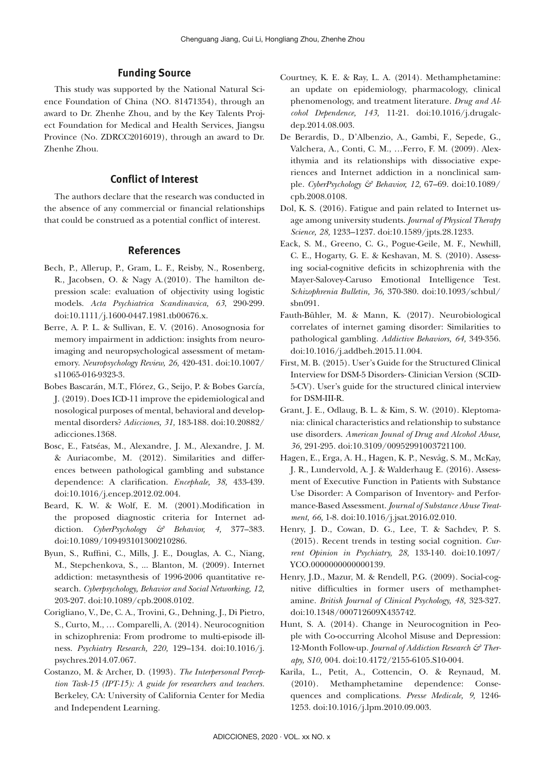# **Funding Source**

This study was supported by the National Natural Science Foundation of China (NO. 81471354), through an award to Dr. Zhenhe Zhou, and by the Key Talents Project Foundation for Medical and Health Services, Jiangsu Province (No. ZDRCC2016019), through an award to Dr. Zhenhe Zhou.

# **Conflict of Interest**

The authors declare that the research was conducted in the absence of any commercial or financial relationships that could be construed as a potential conflict of interest.

### **References**

- Bech, P., Allerup, P., Gram, L. F., Reisby, N., Rosenberg, R., Jacobsen, O. & Nagy A.(2010). The hamilton depression scale: evaluation of objectivity using logistic models. *Acta Psychiatrica Scandinavica, 63*, 290-299. doi:10.1111/j.1600-0447.1981.tb00676.x.
- Berre, A. P. L. & Sullivan, E. V. (2016). Anosognosia for memory impairment in addiction: insights from neuroimaging and neuropsychological assessment of metamemory. *Neuropsychology Review, 26,* 420-431. doi:10.1007/ s11065-016-9323-3.
- Bobes Bascarán, M.T., Flórez, G., Seijo, P. & Bobes García, J. (2019). Does ICD-11 improve the epidemiological and nosological purposes of mental, behavioral and developmental disorders? *Adicciones, 31,* 183-188. doi:10.20882/ adicciones.1368.
- Bosc, E., Fatséas, M., Alexandre, J. M., Alexandre, J. M. & Auriacombe, M. (2012). Similarities and differences between pathological gambling and substance dependence: A clarification. *Encephale, 38,* 433-439. doi:10.1016/j.encep.2012.02.004.
- Beard, K. W. & Wolf, E. M. (2001).Modification in the proposed diagnostic criteria for Internet addiction. *CyberPsychology & Behavior, 4,* 377–383. doi:10.1089/109493101300210286.
- Byun, S., Ruffini, C., Mills, J. E., Douglas, A. C., Niang, M., Stepchenkova, S., ... Blanton, M. (2009). Internet addiction: metasynthesis of 1996-2006 quantitative research. *Cyberpsychology, Behavior and Social Networking, 12,* 203-207. doi:10.1089/cpb.2008.0102.
- Corigliano, V., De, C. A., Trovini, G., Dehning, J., Di Pietro, S., Curto, M., … Comparelli, A. (2014). Neurocognition in schizophrenia: From prodrome to multi-episode illness. *Psychiatry Research, 220,* 129–134. doi:10.1016/j. psychres.2014.07.067.
- Costanzo, M. & Archer, D. (1993). *The Interpersonal Perception Task-15 (IPT-15): A guide for researchers and teachers.*  Berkeley, CA: University of California Center for Media and Independent Learning.
- Courtney, K. E. & Ray, L. A. (2014). Methamphetamine: an update on epidemiology, pharmacology, clinical phenomenology, and treatment literature. *Drug and Alcohol Dependence, 143,* 11-21. doi:10.1016/j.drugalcdep.2014.08.003.
- De Berardis, D., D'Albenzio, A., Gambi, F., Sepede, G., Valchera, A., Conti, C. M., …Ferro, F. M. (2009). Alexithymia and its relationships with dissociative experiences and Internet addiction in a nonclinical sample. *CyberPsychology & Behavior, 12,* 67–69. doi:10.1089/ cpb.2008.0108.
- Dol, K. S. (2016). Fatigue and pain related to Internet usage among university students. *Journal of Physical Therapy Science, 28,* 1233–1237. doi:10.1589/jpts.28.1233.
- Eack, S. M., Greeno, C. G., Pogue-Geile, M. F., Newhill, C. E., Hogarty, G. E. & Keshavan, M. S. (2010). Assessing social-cognitive deficits in schizophrenia with the Mayer-Salovey-Caruso Emotional Intelligence Test. *Schizophrenia Bulletin, 36,* 370-380. doi:10.1093/schbul/ sbn091.
- Fauth-Bühler, M. & Mann, K. (2017). Neurobiological correlates of internet gaming disorder: Similarities to pathological gambling. *Addictive Behaviors, 64,* 349-356. doi:10.1016/j.addbeh.2015.11.004.
- First, M. B. (2015). User's Guide for the Structured Clinical Interview for DSM-5 Disorders- Clinician Version (SCID-5-CV). User's guide for the structured clinical interview for DSM-III-R.
- Grant, J. E., Odlaug, B. L. & Kim, S. W. (2010). Kleptomania: clinical characteristics and relationship to substance use disorders. *American Jounal of Drug and Alcohol Abuse, 36,* 291-295. doi:10.3109/00952991003721100.
- Hagen, E., Erga, A. H., Hagen, K. P., Nesvåg, S. M., McKay, J. R., Lundervold, A. J. & Walderhaug E. (2016). Assessment of Executive Function in Patients with Substance Use Disorder: A Comparison of Inventory- and Performance-Based Assessment. *Journal of Substance Abuse Treatment, 66,* 1-8. doi:10.1016/j.jsat.2016.02.010.
- Henry, J. D., Cowan, D. G., Lee, T. & Sachdev, P. S. (2015). Recent trends in testing social cognition. *Current Opinion in Psychiatry, 28,* 133-140. doi:10.1097/ YCO.0000000000000139.
- Henry, J.D., Mazur, M. & Rendell, P.G. (2009). Social-cognitive difficulties in former users of methamphetamine. *British Journal of Clinical Psychology, 48,* 323-327. doi:10.1348/000712609X435742.
- Hunt, S. A. (2014). Change in Neurocognition in People with Co-occurring Alcohol Misuse and Depression: 12-Month Follow-up. *Journal of Addiction Research & Therapy, S10,* 004. doi:10.4172/2155-6105.S10-004.
- Karila, L., Petit, A., Cottencin, O. & Reynaud, M. (2010). Methamphetamine dependence: Consequences and complications. *Presse Medicale, 9,* 1246- 1253. doi:10.1016/j.lpm.2010.09.003.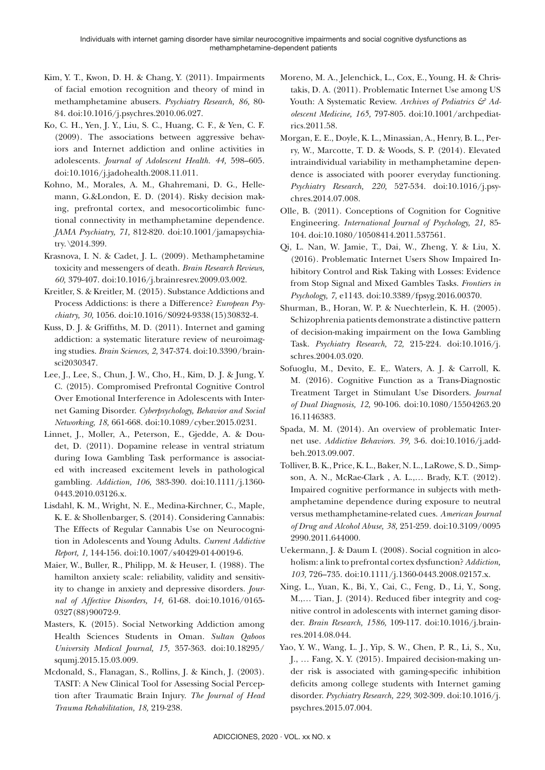- Kim, Y. T., Kwon, D. H. & Chang, Y. (2011). Impairments of facial emotion recognition and theory of mind in methamphetamine abusers. *Psychiatry Research, 86,* 80- 84. doi:10.1016/j.psychres.2010.06.027.
- Ko, C. H., Yen, J. Y., Liu, S. C., Huang, C. F., & Yen, C. F. (2009). The associations between aggressive behaviors and Internet addiction and online activities in adolescents*. Journal of Adolescent Health. 44,* 598–605. doi:10.1016/j.jadohealth.2008.11.011.
- Kohno, M., Morales, A. M., Ghahremani, D. G., Hellemann, G.&London, E. D. (2014). Risky decision making, prefrontal cortex, and mesocorticolimbic functional connectivity in methamphetamine dependence. *JAMA Psychiatry, 71,* 812-820. doi:10.1001/jamapsychiatry. \2014.399.
- Krasnova, I. N. & Cadet, J. L. (2009). Methamphetamine toxicity and messengers of death. *Brain Research Reviews, 60,* 379-407. doi:10.1016/j.brainresrev.2009.03.002.
- Kreitler, S. & Kreitler, M. (2015). Substance Addictions and Process Addictions: is there a Difference? *European Psychiatry, 30,* 1056. doi:10.1016/S0924-9338(15)30832-4.
- Kuss, D. J. & Griffiths, M. D. (2011). Internet and gaming addiction: a systematic literature review of neuroimaging studies. *Brain Sciences, 2,* 347-374. doi:10.3390/brainsci2030347.
- Lee, J., Lee, S., Chun, J. W., Cho, H., Kim, D. J. & Jung, Y. C. (2015). Compromised Prefrontal Cognitive Control Over Emotional Interference in Adolescents with Internet Gaming Disorder. *Cyberpsychology, Behavior and Social Networking, 18,* 661-668. doi:10.1089/cyber.2015.0231.
- Linnet, J., Moller, A., Peterson, E., Gjedde, A. & Doudet, D. (2011). Dopamine release in ventral striatum during Iowa Gambling Task performance is associated with increased excitement levels in pathological gambling. *Addiction, 106,* 383-390. doi:10.1111/j.1360- 0443.2010.03126.x.
- Lisdahl, K. M., Wright, N. E., Medina-Kirchner, C., Maple, K. E. & Shollenbarger, S. (2014). Considering Cannabis: The Effects of Regular Cannabis Use on Neurocognition in Adolescents and Young Adults. *Current Addictive Report, 1,* 144-156. doi:10.1007/s40429-014-0019-6.
- Maier, W., Buller, R., Philipp, M. & Heuser, I. (1988). The hamilton anxiety scale: reliability, validity and sensitivity to change in anxiety and depressive disorders. *Journal of Affective Disorders, 14,* 61-68. doi:10.1016/0165- 0327(88)90072-9.
- Masters, K. (2015). Social Networking Addiction among Health Sciences Students in Oman. *Sultan Qaboos University Medical Journal, 15,* 357-363. doi:10.18295/ squmj.2015.15.03.009.
- Mcdonald, S., Flanagan, S., Rollins, J. & Kinch, J. (2003). TASIT: A New Clinical Tool for Assessing Social Perception after Traumatic Brain Injury. *The Journal of Head Trauma Rehabilitation, 18,* 219-238.
- Moreno, M. A., Jelenchick, L., Cox, E., Young, H. & Christakis, D. A. (2011). Problematic Internet Use among US Youth: A Systematic Review. Archives of Pediatrics & Ad*olescent Medicine, 165,* 797-805. doi:10.1001/archpediatrics.2011.58.
- Morgan, E. E., Doyle, K. L., Minassian, A., Henry, B. L., Perry, W., Marcotte, T. D. & Woods, S. P. (2014). Elevated intraindividual variability in methamphetamine dependence is associated with poorer everyday functioning. *Psychiatry Research, 220,* 527-534. doi:10.1016/j.psychres.2014.07.008.
- Olle, B. (2011). Conceptions of Cognition for Cognitive Engineering. *International Journal of Psychology, 21,* 85- 104. doi:10.1080/10508414.2011.537561.
- Qi, L. Nan, W. Jamie, T., Dai, W., Zheng, Y. & Liu, X. (2016). Problematic Internet Users Show Impaired Inhibitory Control and Risk Taking with Losses: Evidence from Stop Signal and Mixed Gambles Tasks. *Frontiers in Psychology, 7,* e1143. doi:10.3389/fpsyg.2016.00370.
- Shurman, B., Horan, W. P. & Nuechterlein, K. H. (2005). Schizophrenia patients demonstrate a distinctive pattern of decision-making impairment on the Iowa Gambling Task. *Psychiatry Research, 72,* 215-224. doi:10.1016/j. schres.2004.03.020.
- Sofuoglu, M., Devito, E. E,. Waters, A. J. & Carroll, K. M. (2016). Cognitive Function as a Trans-Diagnostic Treatment Target in Stimulant Use Disorders. *Journal of Dual Diagnosis, 12,* 90-106. doi:10.1080/15504263.20 16.1146383.
- Spada, M. M. (2014). An overview of problematic Internet use. *Addictive Behaviors. 39,* 3-6. doi:10.1016/j.addbeh.2013.09.007.
- Tolliver, B. K., Price, K. L., Baker, N. L., LaRowe, S. D., Simpson, A. N., McRae-Clark , A. L.,… Brady, K.T. (2012). Impaired cognitive performance in subjects with methamphetamine dependence during exposure to neutral versus methamphetamine-related cues. *American Journal of Drug and Alcohol Abuse, 38,* 251-259. doi:10.3109/0095 2990.2011.644000.
- Uekermann, J. & Daum I. (2008). Social cognition in alcoholism: a link to prefrontal cortex dysfunction? *Addiction, 103,* 726–735. doi:10.1111/j.1360-0443.2008.02157.x.
- Xing, L., Yuan, K., Bi, Y., Cai, C., Feng, D., Li, Y., Song, M.,… Tian, J. (2014). Reduced fiber integrity and cognitive control in adolescents with internet gaming disorder. *Brain Research, 1586,* 109-117. doi:10.1016/j.brainres.2014.08.044.
- Yao, Y. W., Wang, L. J., Yip, S. W., Chen, P. R., Li, S., Xu, J., … Fang, X. Y. (2015). Impaired decision-making under risk is associated with gaming-specific inhibition deficits among college students with Internet gaming disorder. *Psychiatry Research, 229,* 302-309. doi:10.1016/j. psychres.2015.07.004.